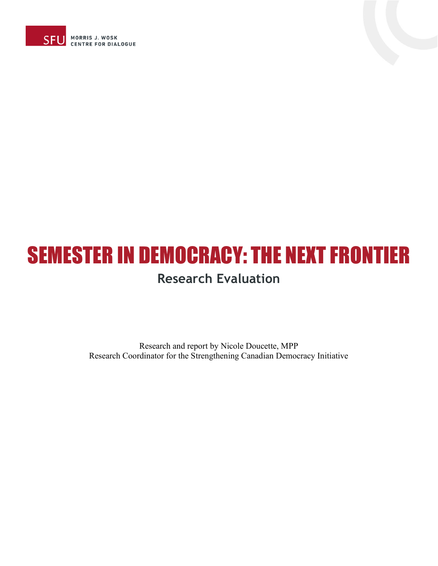



Research and report by Nicole Doucette, MPP Research Coordinator for the Strengthening Canadian Democracy Initiative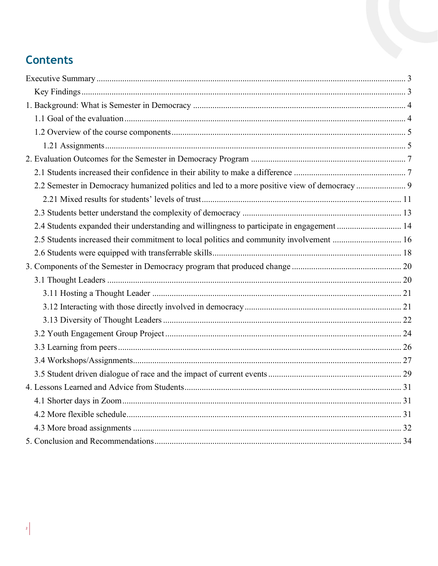# **Contents**

<span id="page-1-0"></span>

| 2.2 Semester in Democracy humanized politics and led to a more positive view of democracy  9 |  |
|----------------------------------------------------------------------------------------------|--|
|                                                                                              |  |
|                                                                                              |  |
| 2.4 Students expanded their understanding and willingness to participate in engagement  14   |  |
| 2.5 Students increased their commitment to local politics and community involvement  16      |  |
|                                                                                              |  |
|                                                                                              |  |
|                                                                                              |  |
|                                                                                              |  |
|                                                                                              |  |
|                                                                                              |  |
|                                                                                              |  |
|                                                                                              |  |
|                                                                                              |  |
|                                                                                              |  |
|                                                                                              |  |
|                                                                                              |  |
|                                                                                              |  |
|                                                                                              |  |
|                                                                                              |  |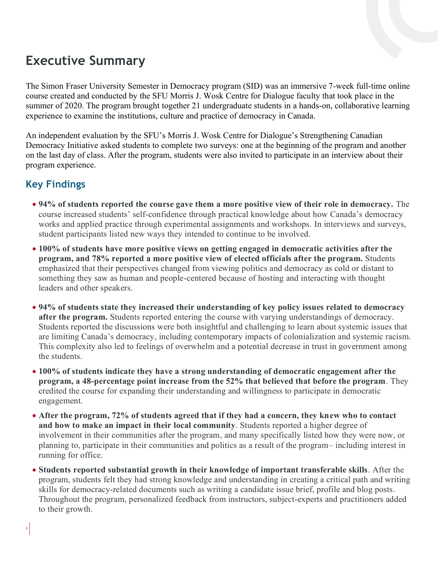# **Executive Summary**

The Simon Fraser University Semester in Democracy program (SID) was an immersive 7-week full-time online course created and conducted by the SFU Morris J. Wosk Centre for Dialogue faculty that took place in the summer of 2020. The program brought together 21 undergraduate students in a hands-on, collaborative learning experience to examine the institutions, culture and practice of democracy in Canada.

An independent evaluation by the SFU's Morris J. Wosk Centre for Dialogue's Strengthening Canadian Democracy Initiative asked students to complete two surveys: one at the beginning of the program and another on the last day of class. After the program, students were also invited to participate in an interview about their program experience.

## <span id="page-2-0"></span>**Key Findings**

- **94% of students reported the course gave them a more positive view of their role in democracy.** The course increased students' self-confidence through practical knowledge about how Canada's democracy works and applied practice through experimental assignments and workshops. In interviews and surveys, student participants listed new ways they intended to continue to be involved.
- **100% of students have more positive views on getting engaged in democratic activities after the program, and 78% reported a more positive view of elected officials after the program.** Students emphasized that their perspectives changed from viewing politics and democracy as cold or distant to something they saw as human and people-centered because of hosting and interacting with thought leaders and other speakers.
- **94% of students state they increased their understanding of key policy issues related to democracy after the program.** Students reported entering the course with varying understandings of democracy. Students reported the discussions were both insightful and challenging to learn about systemic issues that are limiting Canada's democracy, including contemporary impacts of colonialization and systemic racism. This complexity also led to feelings of overwhelm and a potential decrease in trust in government among the students.
- **100% of students indicate they have a strong understanding of democratic engagement after the program, a 48-percentage point increase from the 52% that believed that before the program**. They credited the course for expanding their understanding and willingness to participate in democratic engagement.
- **After the program, 72% of students agreed that if they had a concern, they knew who to contact and how to make an impact in their local community**. Students reported a higher degree of involvement in their communities after the program, and many specifically listed how they were now, or planning to, participate in their communities and politics as a result of the program– including interest in running for office.
- **Students reported substantial growth in their knowledge of important transferable skills**. After the program, students felt they had strong knowledge and understanding in creating a critical path and writing skills for democracy-related documents such as writing a candidate issue brief, profile and blog posts. Throughout the program, personalized feedback from instructors, subject-experts and practitioners added to their growth.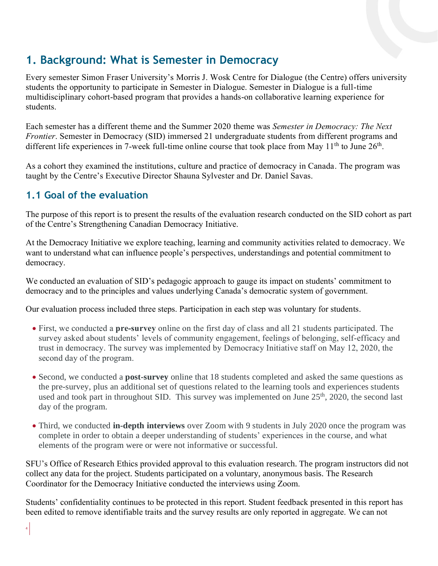## <span id="page-3-0"></span>**1. Background: What is Semester in Democracy**

Every semester Simon Fraser University's Morris J. Wosk Centre for Dialogue (the Centre) offers university students the opportunity to participate in Semester in Dialogue. Semester in Dialogue is a full-time multidisciplinary cohort-based program that provides a hands-on collaborative learning experience for students.

Each semester has a different theme and the Summer 2020 theme was *Semester in Democracy: The Next Frontier*. Semester in Democracy (SID) immersed 21 undergraduate students from different programs and different life experiences in 7-week full-time online course that took place from May  $11<sup>th</sup>$  to June  $26<sup>th</sup>$ .

As a cohort they examined the institutions, culture and practice of democracy in Canada. The program was taught by the Centre's Executive Director Shauna Sylvester and Dr. Daniel Savas.

### <span id="page-3-1"></span>**1.1 Goal of the evaluation**

The purpose of this report is to present the results of the evaluation research conducted on the SID cohort as part of the Centre's Strengthening Canadian Democracy Initiative.

At the Democracy Initiative we explore teaching, learning and community activities related to democracy. We want to understand what can influence people's perspectives, understandings and potential commitment to democracy.

We conducted an evaluation of SID's pedagogic approach to gauge its impact on students' commitment to democracy and to the principles and values underlying Canada's democratic system of government.

Our evaluation process included three steps. Participation in each step was voluntary for students.

- First, we conducted a **pre-survey** online on the first day of class and all 21 students participated. The survey asked about students' levels of community engagement, feelings of belonging, self-efficacy and trust in democracy. The survey was implemented by Democracy Initiative staff on May 12, 2020, the second day of the program.
- Second, we conducted a **post-survey** online that 18 students completed and asked the same questions as the pre-survey, plus an additional set of questions related to the learning tools and experiences students used and took part in throughout SID. This survey was implemented on June 25<sup>th</sup>, 2020, the second last day of the program.
- Third, we conducted **in-depth interviews** over Zoom with 9 students in July 2020 once the program was complete in order to obtain a deeper understanding of students' experiences in the course, and what elements of the program were or were not informative or successful.

SFU's Office of Research Ethics provided approval to this evaluation research. The program instructors did not collect any data for the project. Students participated on a voluntary, anonymous basis. The Research Coordinator for the Democracy Initiative conducted the interviews using Zoom.

Students' confidentiality continues to be protected in this report. Student feedback presented in this report has been edited to remove identifiable traits and the survey results are only reported in aggregate. We can not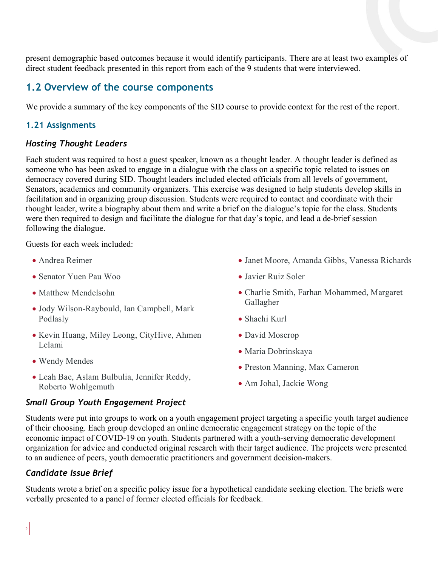present demographic based outcomes because it would identify participants. There are at least two examples of direct student feedback presented in this report from each of the 9 students that were interviewed.

#### <span id="page-4-0"></span>**1.2 Overview of the course components**

We provide a summary of the key components of the SID course to provide context for the rest of the report.

#### <span id="page-4-1"></span>**1.21 Assignments**

#### *Hosting Thought Leaders*

Each student was required to host a guest speaker, known as a thought leader. A thought leader is defined as someone who has been asked to engage in a dialogue with the class on a specific topic related to issues on democracy covered during SID. Thought leaders included elected officials from all levels of government, Senators, academics and community organizers. This exercise was designed to help students develop skills in facilitation and in organizing group discussion. Students were required to contact and coordinate with their thought leader, write a biography about them and write a brief on the dialogue's topic for the class. Students were then required to design and facilitate the dialogue for that day's topic, and lead a de-brief session following the dialogue.

Guests for each week included:

- Andrea Reimer
- Senator Yuen Pau Woo
- Matthew Mendelsohn
- Jody Wilson-Raybould, Ian Campbell, Mark Podlasly
- Kevin Huang, Miley Leong, CityHive, Ahmen Lelami
- Wendy Mendes
- Leah Bae, Aslam Bulbulia, Jennifer Reddy, Roberto Wohlgemuth

#### *Small Group Youth Engagement Project*

- Janet Moore, Amanda Gibbs, Vanessa Richards
- Javier Ruiz Soler
- Charlie Smith, Farhan Mohammed, Margaret Gallagher
- Shachi Kurl
- David Moscrop
- Maria Dobrinskaya
- Preston Manning, Max Cameron
- Am Johal, Jackie Wong

Students were put into groups to work on a youth engagement project targeting a specific youth target audience of their choosing. Each group developed an online democratic engagement strategy on the topic of the economic impact of COVID-19 on youth. Students partnered with a youth-serving democratic development organization for advice and conducted original research with their target audience. The projects were presented to an audience of peers, youth democratic practitioners and government decision-makers.

#### *Candidate Issue Brief*

Students wrote a brief on a specific policy issue for a hypothetical candidate seeking election. The briefs were verbally presented to a panel of former elected officials for feedback.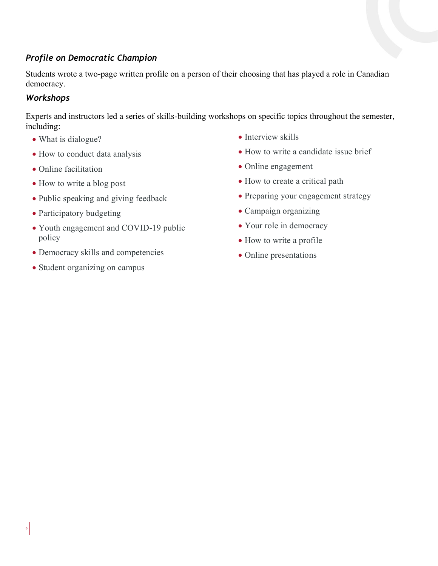#### *Profile on Democratic Champion*

Students wrote a two-page written profile on a person of their choosing that has played a role in Canadian democracy.

#### *Workshops*

6

Experts and instructors led a series of skills-building workshops on specific topics throughout the semester, including:

- What is dialogue?
- How to conduct data analysis
- Online facilitation
- How to write a blog post
- Public speaking and giving feedback
- Participatory budgeting
- Youth engagement and COVID-19 public policy
- Democracy skills and competencies
- Student organizing on campus
- Interview skills
- How to write a candidate issue brief
- Online engagement
- How to create a critical path
- Preparing your engagement strategy
- Campaign organizing
- Your role in democracy
- How to write a profile
- Online presentations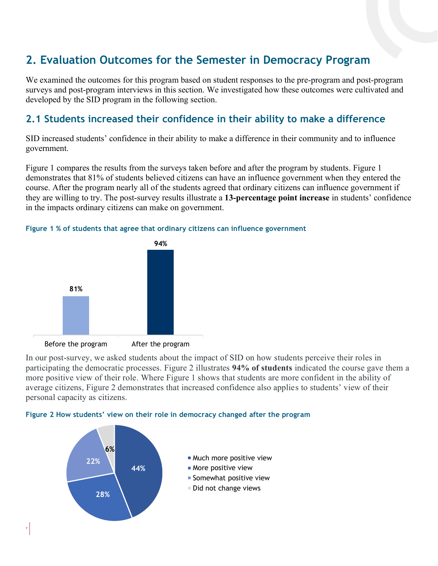# <span id="page-6-0"></span>**2. Evaluation Outcomes for the Semester in Democracy Program**

We examined the outcomes for this program based on student responses to the pre-program and post-program surveys and post-program interviews in this section. We investigated how these outcomes were cultivated and developed by the SID program in the following section.

## <span id="page-6-1"></span>**2.1 Students increased their confidence in their ability to make a difference**

SID increased students' confidence in their ability to make a difference in their community and to influence government.

Figure 1 compares the results from the surveys taken before and after the program by students. Figure 1 demonstrates that 81% of students believed citizens can have an influence government when they entered the course. After the program nearly all of the students agreed that ordinary citizens can influence government if they are willing to try. The post-survey results illustrate a **13-percentage point increase** in students' confidence in the impacts ordinary citizens can make on government.



7

#### **Figure 1 % of students that agree that ordinary citizens can influence government**

In our post-survey, we asked students about the impact of SID on how students perceive their roles in participating the democratic processes. Figure 2 illustrates **94% of students** indicated the course gave them a more positive view of their role. Where Figure 1 shows that students are more confident in the ability of average citizens, Figure 2 demonstrates that increased confidence also applies to students' view of their personal capacity as citizens.



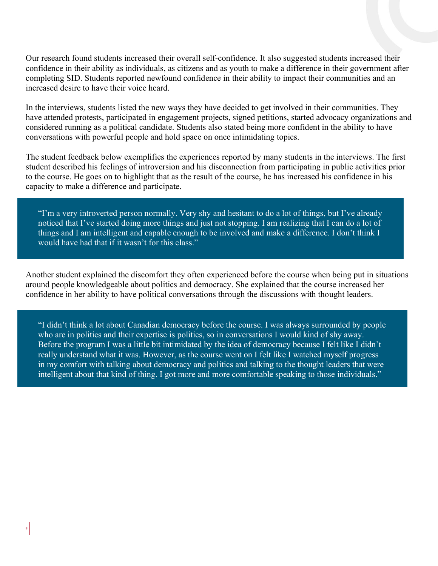Our research found students increased their overall self-confidence. It also suggested students increased their confidence in their ability as individuals, as citizens and as youth to make a difference in their government after completing SID. Students reported newfound confidence in their ability to impact their communities and an increased desire to have their voice heard.

In the interviews, students listed the new ways they have decided to get involved in their communities. They have attended protests, participated in engagement projects, signed petitions, started advocacy organizations and considered running as a political candidate. Students also stated being more confident in the ability to have conversations with powerful people and hold space on once intimidating topics.

The student feedback below exemplifies the experiences reported by many students in the interviews. The first student described his feelings of introversion and his disconnection from participating in public activities prior to the course. He goes on to highlight that as the result of the course, he has increased his confidence in his capacity to make a difference and participate.

"I'm a very introverted person normally. Very shy and hesitant to do a lot of things, but I've already noticed that I've started doing more things and just not stopping. I am realizing that I can do a lot of things and I am intelligent and capable enough to be involved and make a difference. I don't think I would have had that if it wasn't for this class."

Another student explained the discomfort they often experienced before the course when being put in situations around people knowledgeable about politics and democracy. She explained that the course increased her confidence in her ability to have political conversations through the discussions with thought leaders.

"I didn't think a lot about Canadian democracy before the course. I was always surrounded by people who are in politics and their expertise is politics, so in conversations I would kind of shy away. Before the program I was a little bit intimidated by the idea of democracy because I felt like I didn't really understand what it was. However, as the course went on I felt like I watched myself progress in my comfort with talking about democracy and politics and talking to the thought leaders that were intelligent about that kind of thing. I got more and more comfortable speaking to those individuals."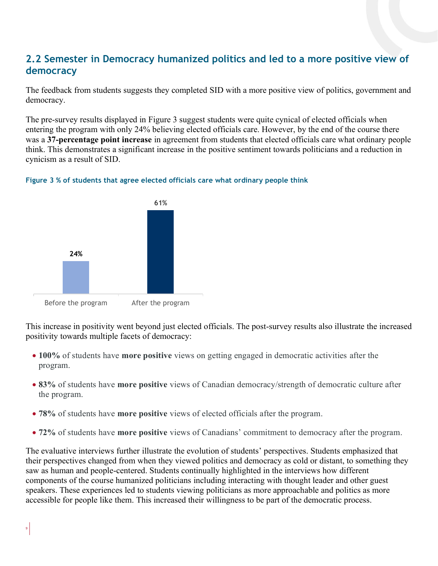## <span id="page-8-0"></span>**2.2 Semester in Democracy humanized politics and led to a more positive view of democracy**

The feedback from students suggests they completed SID with a more positive view of politics, government and democracy.

The pre-survey results displayed in Figure 3 suggest students were quite cynical of elected officials when entering the program with only 24% believing elected officials care. However, by the end of the course there was a **37-percentage point increase** in agreement from students that elected officials care what ordinary people think. This demonstrates a significant increase in the positive sentiment towards politicians and a reduction in cynicism as a result of SID.





9

This increase in positivity went beyond just elected officials. The post-survey results also illustrate the increased positivity towards multiple facets of democracy:

- **100%** of students have **more positive** views on getting engaged in democratic activities after the program.
- **83%** of students have **more positive** views of Canadian democracy/strength of democratic culture after the program.
- **78%** of students have **more positive** views of elected officials after the program.
- **72%** of students have **more positive** views of Canadians' commitment to democracy after the program.

The evaluative interviews further illustrate the evolution of students' perspectives. Students emphasized that their perspectives changed from when they viewed politics and democracy as cold or distant, to something they saw as human and people-centered. Students continually highlighted in the interviews how different components of the course humanized politicians including interacting with thought leader and other guest speakers. These experiences led to students viewing politicians as more approachable and politics as more accessible for people like them. This increased their willingness to be part of the democratic process.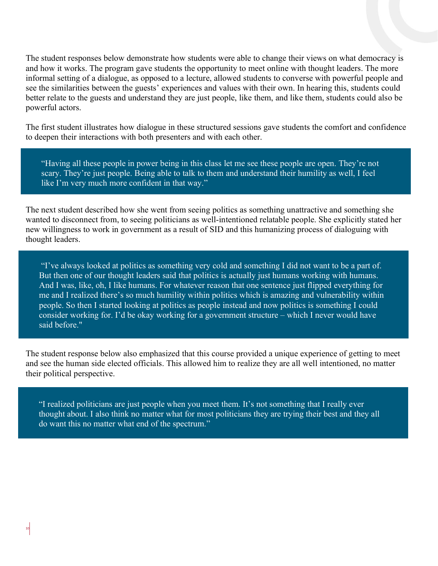The student responses below demonstrate how students were able to change their views on what democracy is and how it works. The program gave students the opportunity to meet online with thought leaders. The more informal setting of a dialogue, as opposed to a lecture, allowed students to converse with powerful people and see the similarities between the guests' experiences and values with their own. In hearing this, students could better relate to the guests and understand they are just people, like them, and like them, students could also be powerful actors.

The first student illustrates how dialogue in these structured sessions gave students the comfort and confidence to deepen their interactions with both presenters and with each other.

"Having all these people in power being in this class let me see these people are open. They're not scary. They're just people. Being able to talk to them and understand their humility as well, I feel like I'm very much more confident in that way."

The next student described how she went from seeing politics as something unattractive and something she wanted to disconnect from, to seeing politicians as well-intentioned relatable people. She explicitly stated her new willingness to work in government as a result of SID and this humanizing process of dialoguing with thought leaders.

"I've always looked at politics as something very cold and something I did not want to be a part of. But then one of our thought leaders said that politics is actually just humans working with humans. And I was, like, oh, I like humans. For whatever reason that one sentence just flipped everything for me and I realized there's so much humility within politics which is amazing and vulnerability within people. So then I started looking at politics as people instead and now politics is something I could consider working for. I'd be okay working for a government structure – which I never would have said before."

The student response below also emphasized that this course provided a unique experience of getting to meet and see the human side elected officials. This allowed him to realize they are all well intentioned, no matter their political perspective.

"I realized politicians are just people when you meet them. It's not something that I really ever thought about. I also think no matter what for most politicians they are trying their best and they all do want this no matter what end of the spectrum."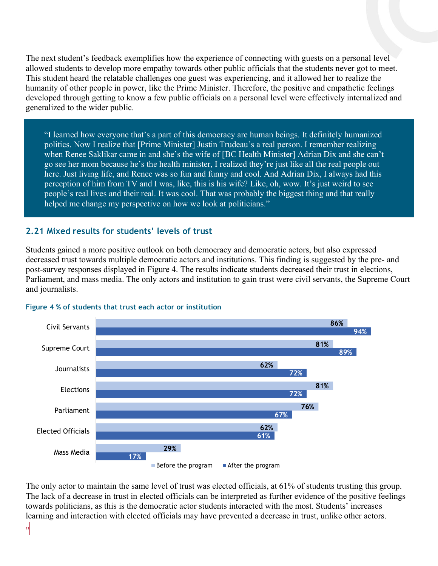The next student's feedback exemplifies how the experience of connecting with guests on a personal level allowed students to develop more empathy towards other public officials that the students never got to meet. This student heard the relatable challenges one guest was experiencing, and it allowed her to realize the humanity of other people in power, like the Prime Minister. Therefore, the positive and empathetic feelings developed through getting to know a few public officials on a personal level were effectively internalized and generalized to the wider public.

"I learned how everyone that's a part of this democracy are human beings. It definitely humanized politics. Now I realize that [Prime Minister] Justin Trudeau's a real person. I remember realizing when Renee Saklikar came in and she's the wife of [BC Health Minister] Adrian Dix and she can't go see her mom because he's the health minister, I realized they're just like all the real people out here. Just living life, and Renee was so fun and funny and cool. And Adrian Dix, I always had this perception of him from TV and I was, like, this is his wife? Like, oh, wow. It's just weird to see people's real lives and their real. It was cool. That was probably the biggest thing and that really helped me change my perspective on how we look at politicians."

#### <span id="page-10-0"></span>**2.21 Mixed results for students' levels of trust**

Students gained a more positive outlook on both democracy and democratic actors, but also expressed decreased trust towards multiple democratic actors and institutions. This finding is suggested by the pre- and post-survey responses displayed in Figure 4. The results indicate students decreased their trust in elections, Parliament, and mass media. The only actors and institution to gain trust were civil servants, the Supreme Court and journalists.



#### **Figure 4 % of students that trust each actor or institution**

The only actor to maintain the same level of trust was elected officials, at 61% of students trusting this group. The lack of a decrease in trust in elected officials can be interpreted as further evidence of the positive feelings towards politicians, as this is the democratic actor students interacted with the most. Students' increases learning and interaction with elected officials may have prevented a decrease in trust, unlike other actors.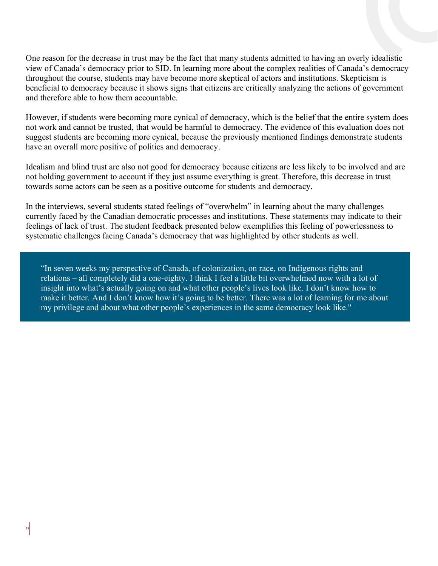One reason for the decrease in trust may be the fact that many students admitted to having an overly idealistic view of Canada's democracy prior to SID. In learning more about the complex realities of Canada's democracy throughout the course, students may have become more skeptical of actors and institutions. Skepticism is beneficial to democracy because it shows signs that citizens are critically analyzing the actions of government and therefore able to how them accountable.

However, if students were becoming more cynical of democracy, which is the belief that the entire system does not work and cannot be trusted, that would be harmful to democracy. The evidence of this evaluation does not suggest students are becoming more cynical, because the previously mentioned findings demonstrate students have an overall more positive of politics and democracy.

Idealism and blind trust are also not good for democracy because citizens are less likely to be involved and are not holding government to account if they just assume everything is great. Therefore, this decrease in trust towards some actors can be seen as a positive outcome for students and democracy.

In the interviews, several students stated feelings of "overwhelm" in learning about the many challenges currently faced by the Canadian democratic processes and institutions. These statements may indicate to their feelings of lack of trust. The student feedback presented below exemplifies this feeling of powerlessness to systematic challenges facing Canada's democracy that was highlighted by other students as well.

"In seven weeks my perspective of Canada, of colonization, on race, on Indigenous rights and relations – all completely did a one-eighty. I think I feel a little bit overwhelmed now with a lot of insight into what's actually going on and what other people's lives look like. I don't know how to make it better. And I don't know how it's going to be better. There was a lot of learning for me about my privilege and about what other people's experiences in the same democracy look like."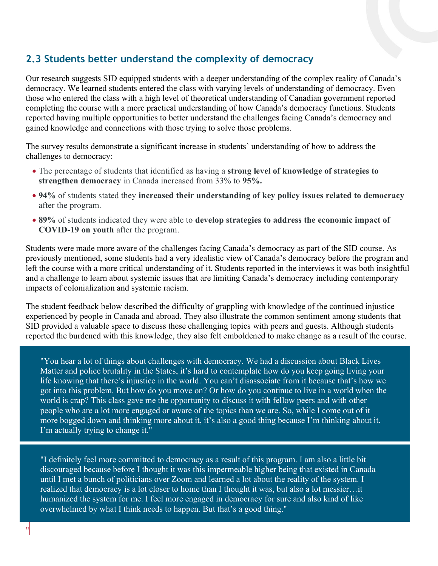### <span id="page-12-0"></span>**2.3 Students better understand the complexity of democracy**

Our research suggests SID equipped students with a deeper understanding of the complex reality of Canada's democracy. We learned students entered the class with varying levels of understanding of democracy. Even those who entered the class with a high level of theoretical understanding of Canadian government reported completing the course with a more practical understanding of how Canada's democracy functions. Students reported having multiple opportunities to better understand the challenges facing Canada's democracy and gained knowledge and connections with those trying to solve those problems.

The survey results demonstrate a significant increase in students' understanding of how to address the challenges to democracy:

- The percentage of students that identified as having a **strong level of knowledge of strategies to strengthen democracy** in Canada increased from 33% to **95%.**
- **94%** of students stated they **increased their understanding of key policy issues related to democracy** after the program.
- **89%** of students indicated they were able to **develop strategies to address the economic impact of COVID-19 on youth** after the program.

Students were made more aware of the challenges facing Canada's democracy as part of the SID course. As previously mentioned, some students had a very idealistic view of Canada's democracy before the program and left the course with a more critical understanding of it. Students reported in the interviews it was both insightful and a challenge to learn about systemic issues that are limiting Canada's democracy including contemporary impacts of colonialization and systemic racism.

The student feedback below described the difficulty of grappling with knowledge of the continued injustice experienced by people in Canada and abroad. They also illustrate the common sentiment among students that SID provided a valuable space to discuss these challenging topics with peers and guests. Although students reported the burdened with this knowledge, they also felt emboldened to make change as a result of the course.

"You hear a lot of things about challenges with democracy. We had a discussion about Black Lives Matter and police brutality in the States, it's hard to contemplate how do you keep going living your life knowing that there's injustice in the world. You can't disassociate from it because that's how we got into this problem. But how do you move on? Or how do you continue to live in a world when the world is crap? This class gave me the opportunity to discuss it with fellow peers and with other people who are a lot more engaged or aware of the topics than we are. So, while I come out of it more bogged down and thinking more about it, it's also a good thing because I'm thinking about it. I'm actually trying to change it."

"I definitely feel more committed to democracy as a result of this program. I am also a little bit discouraged because before I thought it was this impermeable higher being that existed in Canada until I met a bunch of politicians over Zoom and learned a lot about the reality of the system. I realized that democracy is a lot closer to home than I thought it was, but also a lot messier…it humanized the system for me. I feel more engaged in democracy for sure and also kind of like overwhelmed by what I think needs to happen. But that's a good thing."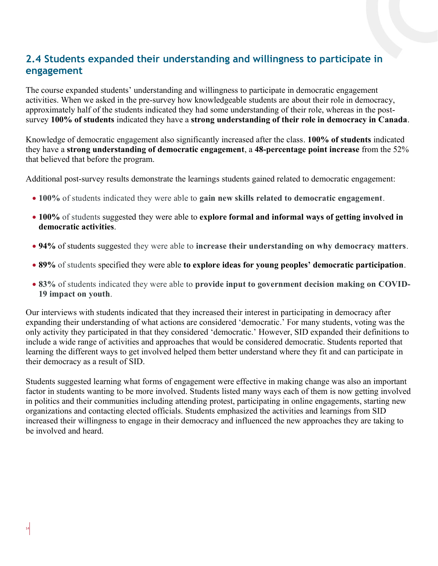## <span id="page-13-0"></span>**2.4 Students expanded their understanding and willingness to participate in engagement**

The course expanded students' understanding and willingness to participate in democratic engagement activities. When we asked in the pre-survey how knowledgeable students are about their role in democracy, approximately half of the students indicated they had some understanding of their role, whereas in the postsurvey **100% of students** indicated they have a **strong understanding of their role in democracy in Canada**.

Knowledge of democratic engagement also significantly increased after the class. **100% of students** indicated they have a **strong understanding of democratic engagement**, a **48-percentage point increase** from the 52% that believed that before the program.

Additional post-survey results demonstrate the learnings students gained related to democratic engagement:

- **100%** of students indicated they were able to **gain new skills related to democratic engagement**.
- **100%** of students suggested they were able to **explore formal and informal ways of getting involved in democratic activities**.
- **94%** of students suggested they were able to **increase their understanding on why democracy matters**.
- **89%** of students specified they were able **to explore ideas for young peoples' democratic participation**.
- **83%** of students indicated they were able to **provide input to government decision making on COVID-19 impact on youth**.

Our interviews with students indicated that they increased their interest in participating in democracy after expanding their understanding of what actions are considered 'democratic.' For many students, voting was the only activity they participated in that they considered 'democratic.' However, SID expanded their definitions to include a wide range of activities and approaches that would be considered democratic. Students reported that learning the different ways to get involved helped them better understand where they fit and can participate in their democracy as a result of SID.

Students suggested learning what forms of engagement were effective in making change was also an important factor in students wanting to be more involved. Students listed many ways each of them is now getting involved in politics and their communities including attending protest, participating in online engagements, starting new organizations and contacting elected officials. Students emphasized the activities and learnings from SID increased their willingness to engage in their democracy and influenced the new approaches they are taking to be involved and heard.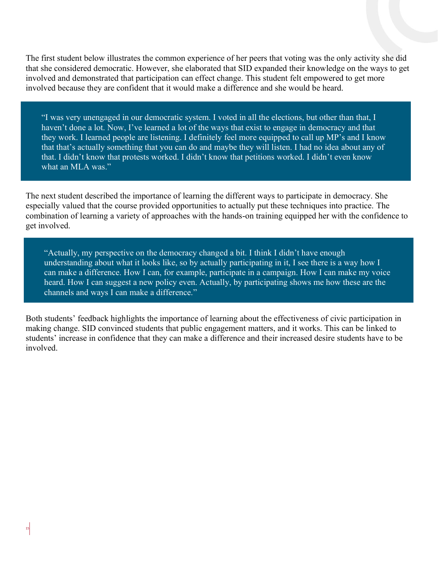The first student below illustrates the common experience of her peers that voting was the only activity she did that she considered democratic. However, she elaborated that SID expanded their knowledge on the ways to get involved and demonstrated that participation can effect change. This student felt empowered to get more involved because they are confident that it would make a difference and she would be heard.

"I was very unengaged in our democratic system. I voted in all the elections, but other than that, I haven't done a lot. Now, I've learned a lot of the ways that exist to engage in democracy and that they work. I learned people are listening. I definitely feel more equipped to call up MP's and I know that that's actually something that you can do and maybe they will listen. I had no idea about any of that. I didn't know that protests worked. I didn't know that petitions worked. I didn't even know what an MLA was."

The next student described the importance of learning the different ways to participate in democracy. She especially valued that the course provided opportunities to actually put these techniques into practice. The combination of learning a variety of approaches with the hands-on training equipped her with the confidence to get involved.

"Actually, my perspective on the democracy changed a bit. I think I didn't have enough understanding about what it looks like, so by actually participating in it, I see there is a way how I can make a difference. How I can, for example, participate in a campaign. How I can make my voice heard. How I can suggest a new policy even. Actually, by participating shows me how these are the channels and ways I can make a difference."

Both students' feedback highlights the importance of learning about the effectiveness of civic participation in making change. SID convinced students that public engagement matters, and it works. This can be linked to students' increase in confidence that they can make a difference and their increased desire students have to be involved.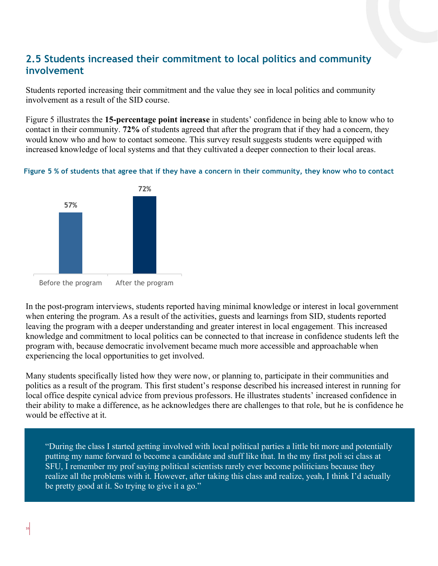### <span id="page-15-0"></span>**2.5 Students increased their commitment to local politics and community involvement**

Students reported increasing their commitment and the value they see in local politics and community involvement as a result of the SID course.

Figure 5 illustrates the **15-percentage point increase** in students' confidence in being able to know who to contact in their community. **72%** of students agreed that after the program that if they had a concern, they would know who and how to contact someone. This survey result suggests students were equipped with increased knowledge of local systems and that they cultivated a deeper connection to their local areas.

**Figure 5 % of students that agree that if they have a concern in their community, they know who to contact**



In the post-program interviews, students reported having minimal knowledge or interest in local government when entering the program. As a result of the activities, guests and learnings from SID, students reported leaving the program with a deeper understanding and greater interest in local engagement. This increased knowledge and commitment to local politics can be connected to that increase in confidence students left the program with, because democratic involvement became much more accessible and approachable when experiencing the local opportunities to get involved.

Many students specifically listed how they were now, or planning to, participate in their communities and politics as a result of the program. This first student's response described his increased interest in running for local office despite cynical advice from previous professors. He illustrates students' increased confidence in their ability to make a difference, as he acknowledges there are challenges to that role, but he is confidence he would be effective at it.

"During the class I started getting involved with local political parties a little bit more and potentially putting my name forward to become a candidate and stuff like that. In the my first poli sci class at SFU, I remember my prof saying political scientists rarely ever become politicians because they realize all the problems with it. However, after taking this class and realize, yeah, I think I'd actually be pretty good at it. So trying to give it a go."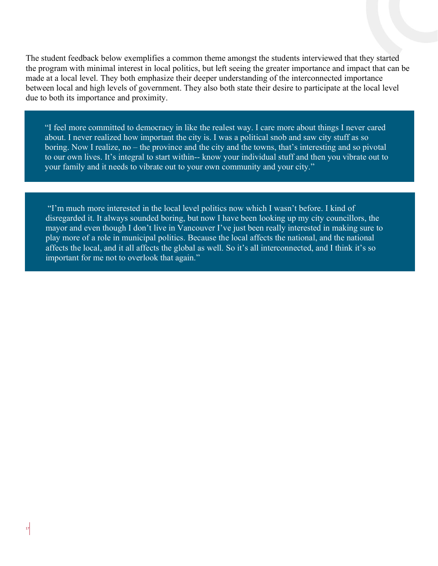The student feedback below exemplifies a common theme amongst the students interviewed that they started the program with minimal interest in local politics, but left seeing the greater importance and impact that can be made at a local level. They both emphasize their deeper understanding of the interconnected importance between local and high levels of government. They also both state their desire to participate at the local level due to both its importance and proximity.

"I feel more committed to democracy in like the realest way. I care more about things I never cared about. I never realized how important the city is. I was a political snob and saw city stuff as so boring. Now I realize, no – the province and the city and the towns, that's interesting and so pivotal to our own lives. It's integral to start within-- know your individual stuff and then you vibrate out to your family and it needs to vibrate out to your own community and your city."

"I'm much more interested in the local level politics now which I wasn't before. I kind of disregarded it. It always sounded boring, but now I have been looking up my city councillors, the mayor and even though I don't live in Vancouver I've just been really interested in making sure to play more of a role in municipal politics. Because the local affects the national, and the national affects the local, and it all affects the global as well. So it's all interconnected, and I think it's so important for me not to overlook that again."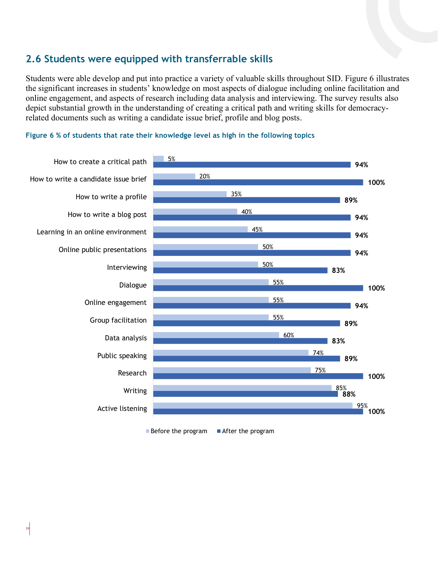### <span id="page-17-0"></span>**2.6 Students were equipped with transferrable skills**

Students were able develop and put into practice a variety of valuable skills throughout SID. Figure 6 illustrates the significant increases in students' knowledge on most aspects of dialogue including online facilitation and online engagement, and aspects of research including data analysis and interviewing. The survey results also depict substantial growth in the understanding of creating a critical path and writing skills for democracyrelated documents such as writing a candidate issue brief, profile and blog posts.





 $\blacksquare$  Before the program  $\blacksquare$  After the program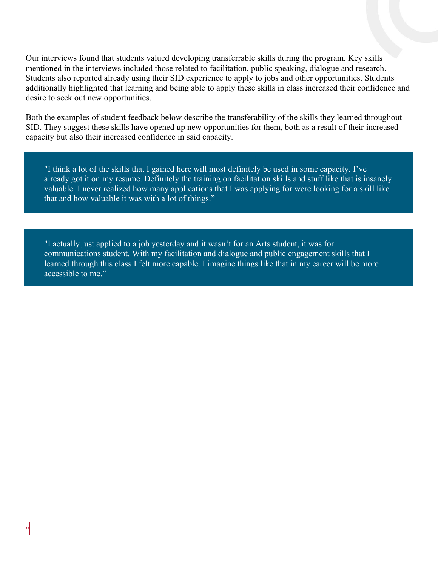Our interviews found that students valued developing transferrable skills during the program. Key skills mentioned in the interviews included those related to facilitation, public speaking, dialogue and research. Students also reported already using their SID experience to apply to jobs and other opportunities. Students additionally highlighted that learning and being able to apply these skills in class increased their confidence and desire to seek out new opportunities.

Both the examples of student feedback below describe the transferability of the skills they learned throughout SID. They suggest these skills have opened up new opportunities for them, both as a result of their increased capacity but also their increased confidence in said capacity.

"I think a lot of the skills that I gained here will most definitely be used in some capacity. I've already got it on my resume. Definitely the training on facilitation skills and stuff like that is insanely valuable. I never realized how many applications that I was applying for were looking for a skill like that and how valuable it was with a lot of things."

"I actually just applied to a job yesterday and it wasn't for an Arts student, it was for communications student. With my facilitation and dialogue and public engagement skills that I learned through this class I felt more capable. I imagine things like that in my career will be more accessible to me."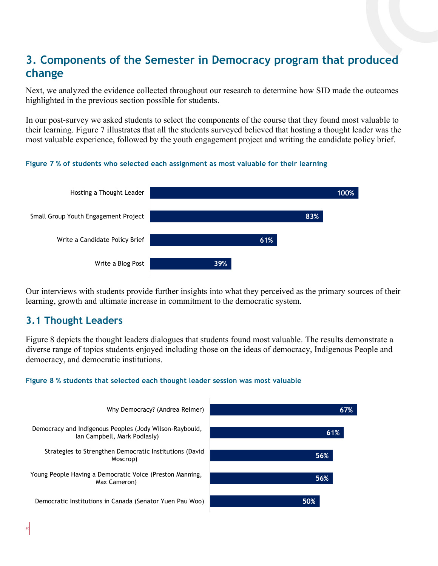# <span id="page-19-0"></span>**3. Components of the Semester in Democracy program that produced change**

Next, we analyzed the evidence collected throughout our research to determine how SID made the outcomes highlighted in the previous section possible for students.

In our post-survey we asked students to select the components of the course that they found most valuable to their learning. Figure 7 illustrates that all the students surveyed believed that hosting a thought leader was the most valuable experience, followed by the youth engagement project and writing the candidate policy brief.

**Figure 7 % of students who selected each assignment as most valuable for their learning**



Our interviews with students provide further insights into what they perceived as the primary sources of their learning, growth and ultimate increase in commitment to the democratic system.

### <span id="page-19-1"></span>**3.1 Thought Leaders**

Figure 8 depicts the thought leaders dialogues that students found most valuable. The results demonstrate a diverse range of topics students enjoyed including those on the ideas of democracy, Indigenous People and democracy, and democratic institutions.



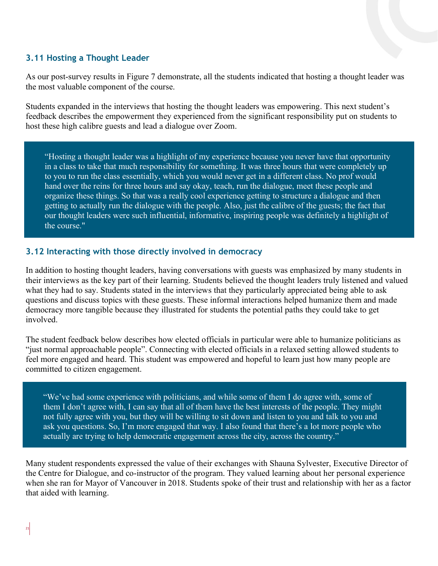#### <span id="page-20-0"></span>**3.11 Hosting a Thought Leader**

As our post-survey results in Figure 7 demonstrate, all the students indicated that hosting a thought leader was the most valuable component of the course.

Students expanded in the interviews that hosting the thought leaders was empowering. This next student's feedback describes the empowerment they experienced from the significant responsibility put on students to host these high calibre guests and lead a dialogue over Zoom.

"Hosting a thought leader was a highlight of my experience because you never have that opportunity in a class to take that much responsibility for something. It was three hours that were completely up to you to run the class essentially, which you would never get in a different class. No prof would hand over the reins for three hours and say okay, teach, run the dialogue, meet these people and organize these things. So that was a really cool experience getting to structure a dialogue and then getting to actually run the dialogue with the people. Also, just the calibre of the guests; the fact that our thought leaders were such influential, informative, inspiring people was definitely a highlight of the course."

#### <span id="page-20-1"></span>**3.12 Interacting with those directly involved in democracy**

In addition to hosting thought leaders, having conversations with guests was emphasized by many students in their interviews as the key part of their learning. Students believed the thought leaders truly listened and valued what they had to say. Students stated in the interviews that they particularly appreciated being able to ask questions and discuss topics with these guests. These informal interactions helped humanize them and made democracy more tangible because they illustrated for students the potential paths they could take to get involved.

The student feedback below describes how elected officials in particular were able to humanize politicians as "just normal approachable people". Connecting with elected officials in a relaxed setting allowed students to feel more engaged and heard. This student was empowered and hopeful to learn just how many people are committed to citizen engagement.

"We've had some experience with politicians, and while some of them I do agree with, some of them I don't agree with, I can say that all of them have the best interests of the people. They might not fully agree with you, but they will be willing to sit down and listen to you and talk to you and ask you questions. So, I'm more engaged that way. I also found that there's a lot more people who actually are trying to help democratic engagement across the city, across the country."

Many student respondents expressed the value of their exchanges with Shauna Sylvester, Executive Director of the Centre for Dialogue, and co-instructor of the program. They valued learning about her personal experience when she ran for Mayor of Vancouver in 2018. Students spoke of their trust and relationship with her as a factor that aided with learning.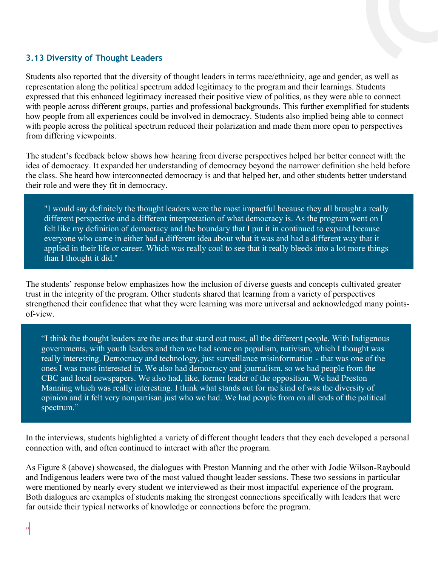#### <span id="page-21-0"></span>**3.13 Diversity of Thought Leaders**

Students also reported that the diversity of thought leaders in terms race/ethnicity, age and gender, as well as representation along the political spectrum added legitimacy to the program and their learnings. Students expressed that this enhanced legitimacy increased their positive view of politics, as they were able to connect with people across different groups, parties and professional backgrounds. This further exemplified for students how people from all experiences could be involved in democracy. Students also implied being able to connect with people across the political spectrum reduced their polarization and made them more open to perspectives from differing viewpoints.

The student's feedback below shows how hearing from diverse perspectives helped her better connect with the idea of democracy. It expanded her understanding of democracy beyond the narrower definition she held before the class. She heard how interconnected democracy is and that helped her, and other students better understand their role and were they fit in democracy.

"I would say definitely the thought leaders were the most impactful because they all brought a really different perspective and a different interpretation of what democracy is. As the program went on I felt like my definition of democracy and the boundary that I put it in continued to expand because everyone who came in either had a different idea about what it was and had a different way that it applied in their life or career. Which was really cool to see that it really bleeds into a lot more things than I thought it did."

The students' response below emphasizes how the inclusion of diverse guests and concepts cultivated greater trust in the integrity of the program. Other students shared that learning from a variety of perspectives strengthened their confidence that what they were learning was more universal and acknowledged many pointsof-view.

"I think the thought leaders are the ones that stand out most, all the different people. With Indigenous governments, with youth leaders and then we had some on populism, nativism, which I thought was really interesting. Democracy and technology, just surveillance misinformation - that was one of the ones I was most interested in. We also had democracy and journalism, so we had people from the CBC and local newspapers. We also had, like, former leader of the opposition. We had Preston Manning which was really interesting. I think what stands out for me kind of was the diversity of opinion and it felt very nonpartisan just who we had. We had people from on all ends of the political spectrum."

In the interviews, students highlighted a variety of different thought leaders that they each developed a personal connection with, and often continued to interact with after the program.

As Figure 8 (above) showcased, the dialogues with Preston Manning and the other with Jodie Wilson-Raybould and Indigenous leaders were two of the most valued thought leader sessions. These two sessions in particular were mentioned by nearly every student we interviewed as their most impactful experience of the program. Both dialogues are examples of students making the strongest connections specifically with leaders that were far outside their typical networks of knowledge or connections before the program.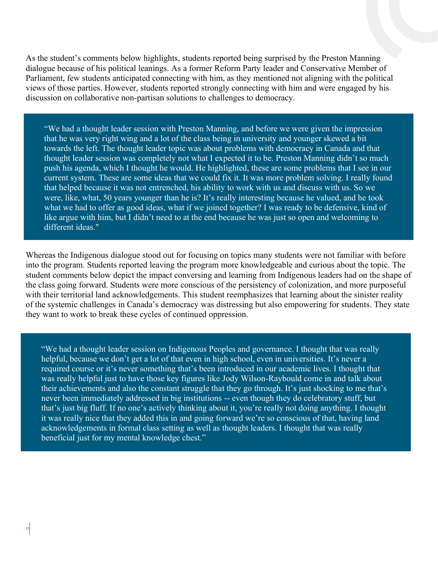As the student's comments below highlights, students reported being surprised by the Preston Manning dialogue because of his political leanings. As a former Reform Party leader and Conservative Member of Parliament, few students anticipated connecting with him, as they mentioned not aligning with the political views of those parties. However, students reported strongly connecting with him and were engaged by his discussion on collaborative non-partisan solutions to challenges to democracy.

"We had a thought leader session with Preston Manning, and before we were given the impression that he was very right wing and a lot of the class being in university and younger skewed a bit towards the left. The thought leader topic was about problems with democracy in Canada and that thought leader session was completely not what I expected it to be. Preston Manning didn't so much push his agenda, which I thought he would. He highlighted, these are some problems that I see in our current system. These are some ideas that we could fix it. It was more problem solving. I really found that helped because it was not entrenched, his ability to work with us and discuss with us. So we were, like, what, 50 years younger than he is? It's really interesting because he valued, and he took what we had to offer as good ideas, what if we joined together? I was ready to be defensive, kind of like argue with him, but I didn't need to at the end because he was just so open and welcoming to different ideas."

Whereas the Indigenous dialogue stood out for focusing on topics many students were not familiar with before into the program. Students reported leaving the program more knowledgeable and curious about the topic. The student comments below depict the impact conversing and learning from Indigenous leaders had on the shape of the class going forward. Students were more conscious of the persistency of colonization, and more purposeful with their territorial land acknowledgements. This student reemphasizes that learning about the sinister reality of the systemic challenges in Canada's democracy was distressing but also empowering for students. They state they want to work to break these cycles of continued oppression.

"We had a thought leader session on Indigenous Peoples and governance. I thought that was really helpful, because we don't get a lot of that even in high school, even in universities. It's never a required course or it's never something that's been introduced in our academic lives. I thought that was really helpful just to have those key figures like Jody Wilson-Raybould come in and talk about their achievements and also the constant struggle that they go through. It's just shocking to me that's never been immediately addressed in big institutions -- even though they do celebratory stuff, but that's just big fluff. If no one's actively thinking about it, you're really not doing anything. I thought it was really nice that they added this in and going forward we're so conscious of that, having land acknowledgements in formal class setting as well as thought leaders. I thought that was really beneficial just for my mental knowledge chest."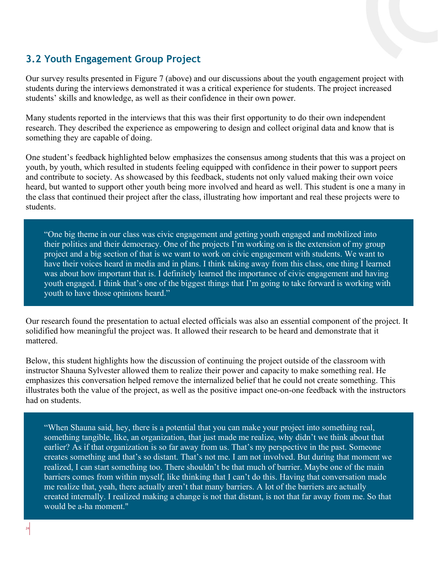## <span id="page-23-0"></span>**3.2 Youth Engagement Group Project**

Our survey results presented in Figure 7 (above) and our discussions about the youth engagement project with students during the interviews demonstrated it was a critical experience for students. The project increased students' skills and knowledge, as well as their confidence in their own power.

Many students reported in the interviews that this was their first opportunity to do their own independent research. They described the experience as empowering to design and collect original data and know that is something they are capable of doing.

One student's feedback highlighted below emphasizes the consensus among students that this was a project on youth, by youth, which resulted in students feeling equipped with confidence in their power to support peers and contribute to society. As showcased by this feedback, students not only valued making their own voice heard, but wanted to support other youth being more involved and heard as well. This student is one a many in the class that continued their project after the class, illustrating how important and real these projects were to students.

"One big theme in our class was civic engagement and getting youth engaged and mobilized into their politics and their democracy. One of the projects I'm working on is the extension of my group project and a big section of that is we want to work on civic engagement with students. We want to have their voices heard in media and in plans. I think taking away from this class, one thing I learned was about how important that is. I definitely learned the importance of civic engagement and having youth engaged. I think that's one of the biggest things that I'm going to take forward is working with youth to have those opinions heard."

Our research found the presentation to actual elected officials was also an essential component of the project. It solidified how meaningful the project was. It allowed their research to be heard and demonstrate that it mattered.

Below, this student highlights how the discussion of continuing the project outside of the classroom with instructor Shauna Sylvester allowed them to realize their power and capacity to make something real. He emphasizes this conversation helped remove the internalized belief that he could not create something. This illustrates both the value of the project, as well as the positive impact one-on-one feedback with the instructors had on students.

"When Shauna said, hey, there is a potential that you can make your project into something real, something tangible, like, an organization, that just made me realize, why didn't we think about that earlier? As if that organization is so far away from us. That's my perspective in the past. Someone creates something and that's so distant. That's not me. I am not involved. But during that moment we realized, I can start something too. There shouldn't be that much of barrier. Maybe one of the main barriers comes from within myself, like thinking that I can't do this. Having that conversation made me realize that, yeah, there actually aren't that many barriers. A lot of the barriers are actually created internally. I realized making a change is not that distant, is not that far away from me. So that would be a-ha moment."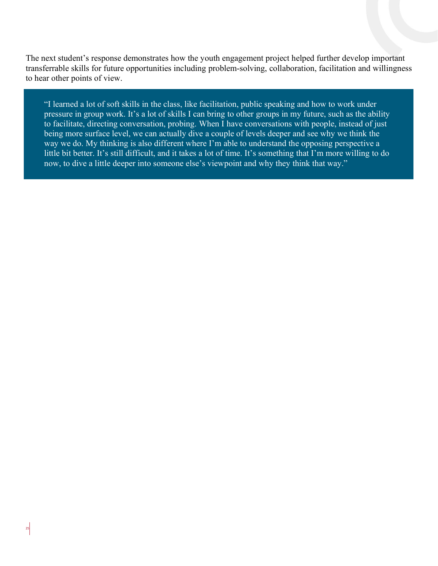The next student's response demonstrates how the youth engagement project helped further develop important transferrable skills for future opportunities including problem-solving, collaboration, facilitation and willingness to hear other points of view.

"I learned a lot of soft skills in the class, like facilitation, public speaking and how to work under pressure in group work. It's a lot of skills I can bring to other groups in my future, such as the ability to facilitate, directing conversation, probing. When I have conversations with people, instead of just being more surface level, we can actually dive a couple of levels deeper and see why we think the way we do. My thinking is also different where I'm able to understand the opposing perspective a little bit better. It's still difficult, and it takes a lot of time. It's something that I'm more willing to do now, to dive a little deeper into someone else's viewpoint and why they think that way."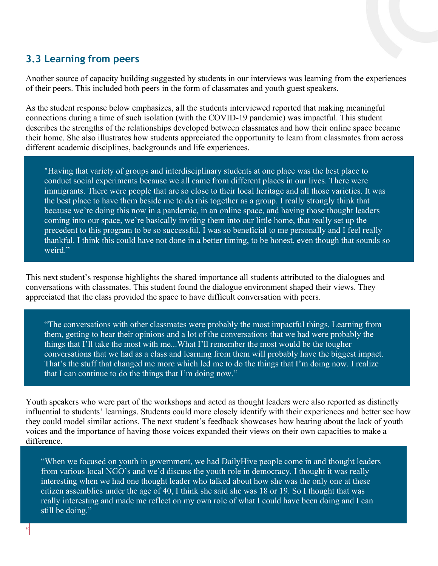### <span id="page-25-0"></span>**3.3 Learning from peers**

Another source of capacity building suggested by students in our interviews was learning from the experiences of their peers. This included both peers in the form of classmates and youth guest speakers.

As the student response below emphasizes, all the students interviewed reported that making meaningful connections during a time of such isolation (with the COVID-19 pandemic) was impactful. This student describes the strengths of the relationships developed between classmates and how their online space became their home. She also illustrates how students appreciated the opportunity to learn from classmates from across different academic disciplines, backgrounds and life experiences.

"Having that variety of groups and interdisciplinary students at one place was the best place to conduct social experiments because we all came from different places in our lives. There were immigrants. There were people that are so close to their local heritage and all those varieties. It was the best place to have them beside me to do this together as a group. I really strongly think that because we're doing this now in a pandemic, in an online space, and having those thought leaders coming into our space, we're basically inviting them into our little home, that really set up the precedent to this program to be so successful. I was so beneficial to me personally and I feel really thankful. I think this could have not done in a better timing, to be honest, even though that sounds so weird."

This next student's response highlights the shared importance all students attributed to the dialogues and conversations with classmates. This student found the dialogue environment shaped their views. They appreciated that the class provided the space to have difficult conversation with peers.

"The conversations with other classmates were probably the most impactful things. Learning from them, getting to hear their opinions and a lot of the conversations that we had were probably the things that I'll take the most with me...What I'll remember the most would be the tougher conversations that we had as a class and learning from them will probably have the biggest impact. That's the stuff that changed me more which led me to do the things that I'm doing now. I realize that I can continue to do the things that I'm doing now."

Youth speakers who were part of the workshops and acted as thought leaders were also reported as distinctly influential to students' learnings. Students could more closely identify with their experiences and better see how they could model similar actions. The next student's feedback showcases how hearing about the lack of youth voices and the importance of having those voices expanded their views on their own capacities to make a difference.

"When we focused on youth in government, we had DailyHive people come in and thought leaders from various local NGO's and we'd discuss the youth role in democracy. I thought it was really interesting when we had one thought leader who talked about how she was the only one at these citizen assemblies under the age of 40, I think she said she was 18 or 19. So I thought that was really interesting and made me reflect on my own role of what I could have been doing and I can still be doing."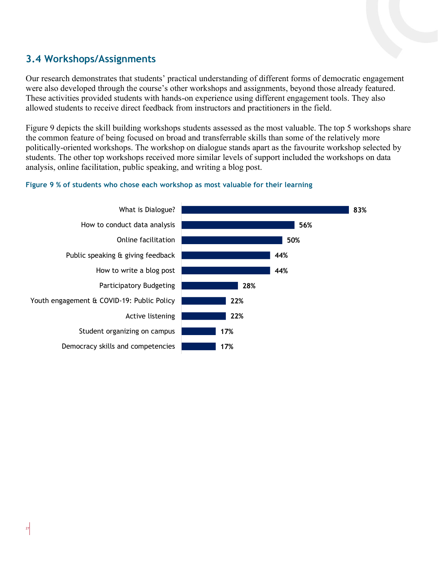## <span id="page-26-0"></span>**3.4 Workshops/Assignments**

Our research demonstrates that students' practical understanding of different forms of democratic engagement were also developed through the course's other workshops and assignments, beyond those already featured. These activities provided students with hands-on experience using different engagement tools. They also allowed students to receive direct feedback from instructors and practitioners in the field.

Figure 9 depicts the skill building workshops students assessed as the most valuable. The top 5 workshops share the common feature of being focused on broad and transferrable skills than some of the relatively more politically-oriented workshops. The workshop on dialogue stands apart as the favourite workshop selected by students. The other top workshops received more similar levels of support included the workshops on data analysis, online facilitation, public speaking, and writing a blog post.

#### **Figure 9 % of students who chose each workshop as most valuable for their learning**

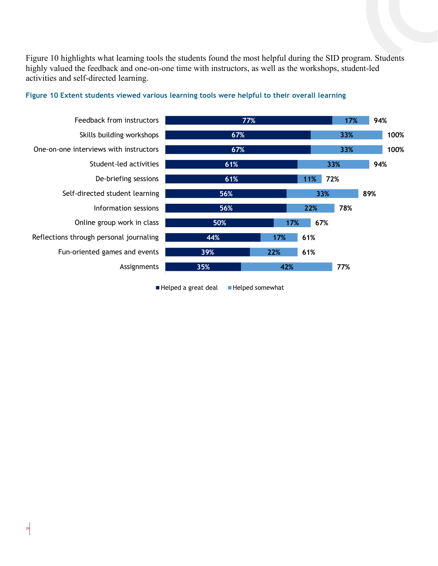Figure 10 highlights what learning tools the students found the most helpful during the SID program. Students highly valued the feedback and one-on-one time with instructors, as well as the workshops, student-led activities and self-directed learning.



#### **Figure 10 Extent students viewed various learning tools were helpful to their overall learning**

Helped a great deal Helped somewhat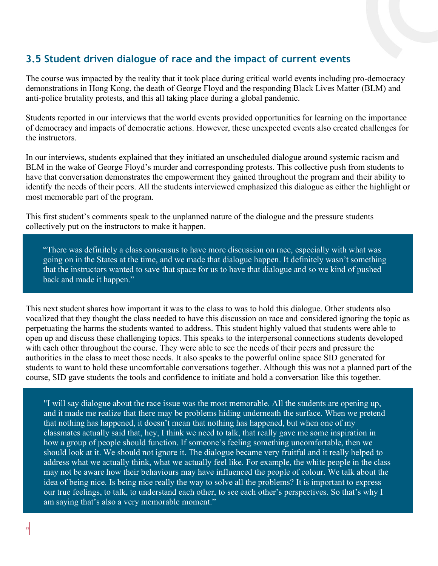### <span id="page-28-0"></span>**3.5 Student driven dialogue of race and the impact of current events**

The course was impacted by the reality that it took place during critical world events including pro-democracy demonstrations in Hong Kong, the death of George Floyd and the responding Black Lives Matter (BLM) and anti-police brutality protests, and this all taking place during a global pandemic.

Students reported in our interviews that the world events provided opportunities for learning on the importance of democracy and impacts of democratic actions. However, these unexpected events also created challenges for the instructors.

In our interviews, students explained that they initiated an unscheduled dialogue around systemic racism and BLM in the wake of George Floyd's murder and corresponding protests. This collective push from students to have that conversation demonstrates the empowerment they gained throughout the program and their ability to identify the needs of their peers. All the students interviewed emphasized this dialogue as either the highlight or most memorable part of the program.

This first student's comments speak to the unplanned nature of the dialogue and the pressure students collectively put on the instructors to make it happen.

"There was definitely a class consensus to have more discussion on race, especially with what was going on in the States at the time, and we made that dialogue happen. It definitely wasn't something that the instructors wanted to save that space for us to have that dialogue and so we kind of pushed back and made it happen."

This next student shares how important it was to the class to was to hold this dialogue. Other students also vocalized that they thought the class needed to have this discussion on race and considered ignoring the topic as perpetuating the harms the students wanted to address. This student highly valued that students were able to open up and discuss these challenging topics. This speaks to the interpersonal connections students developed with each other throughout the course. They were able to see the needs of their peers and pressure the authorities in the class to meet those needs. It also speaks to the powerful online space SID generated for students to want to hold these uncomfortable conversations together. Although this was not a planned part of the course, SID gave students the tools and confidence to initiate and hold a conversation like this together.

"I will say dialogue about the race issue was the most memorable. All the students are opening up, and it made me realize that there may be problems hiding underneath the surface. When we pretend that nothing has happened, it doesn't mean that nothing has happened, but when one of my classmates actually said that, hey, I think we need to talk, that really gave me some inspiration in how a group of people should function. If someone's feeling something uncomfortable, then we should look at it. We should not ignore it. The dialogue became very fruitful and it really helped to address what we actually think, what we actually feel like. For example, the white people in the class may not be aware how their behaviours may have influenced the people of colour. We talk about the idea of being nice. Is being nice really the way to solve all the problems? It is important to express our true feelings, to talk, to understand each other, to see each other's perspectives. So that's why I am saying that's also a very memorable moment."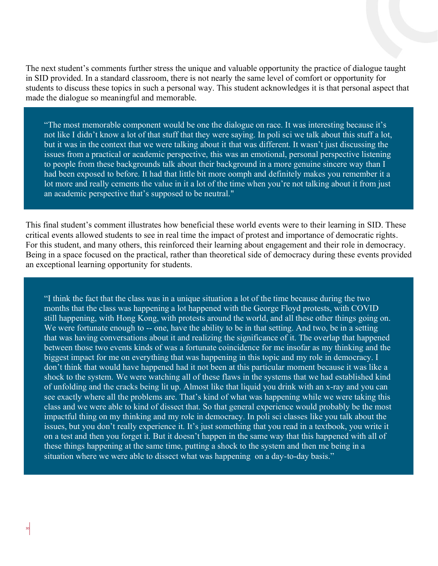The next student's comments further stress the unique and valuable opportunity the practice of dialogue taught in SID provided. In a standard classroom, there is not nearly the same level of comfort or opportunity for students to discuss these topics in such a personal way. This student acknowledges it is that personal aspect that made the dialogue so meaningful and memorable.

"The most memorable component would be one the dialogue on race. It was interesting because it's not like I didn't know a lot of that stuff that they were saying. In poli sci we talk about this stuff a lot, but it was in the context that we were talking about it that was different. It wasn't just discussing the issues from a practical or academic perspective, this was an emotional, personal perspective listening to people from these backgrounds talk about their background in a more genuine sincere way than I had been exposed to before. It had that little bit more oomph and definitely makes you remember it a lot more and really cements the value in it a lot of the time when you're not talking about it from just an academic perspective that's supposed to be neutral."

This final student's comment illustrates how beneficial these world events were to their learning in SID. These critical events allowed students to see in real time the impact of protest and importance of democratic rights. For this student, and many others, this reinforced their learning about engagement and their role in democracy. Being in a space focused on the practical, rather than theoretical side of democracy during these events provided an exceptional learning opportunity for students.

"I think the fact that the class was in a unique situation a lot of the time because during the two months that the class was happening a lot happened with the George Floyd protests, with COVID still happening, with Hong Kong, with protests around the world, and all these other things going on. We were fortunate enough to -- one, have the ability to be in that setting. And two, be in a setting that was having conversations about it and realizing the significance of it. The overlap that happened between those two events kinds of was a fortunate coincidence for me insofar as my thinking and the biggest impact for me on everything that was happening in this topic and my role in democracy. I don't think that would have happened had it not been at this particular moment because it was like a shock to the system. We were watching all of these flaws in the systems that we had established kind of unfolding and the cracks being lit up. Almost like that liquid you drink with an x-ray and you can see exactly where all the problems are. That's kind of what was happening while we were taking this class and we were able to kind of dissect that. So that general experience would probably be the most impactful thing on my thinking and my role in democracy. In poli sci classes like you talk about the issues, but you don't really experience it. It's just something that you read in a textbook, you write it on a test and then you forget it. But it doesn't happen in the same way that this happened with all of these things happening at the same time, putting a shock to the system and then me being in a situation where we were able to dissect what was happening on a day-to-day basis."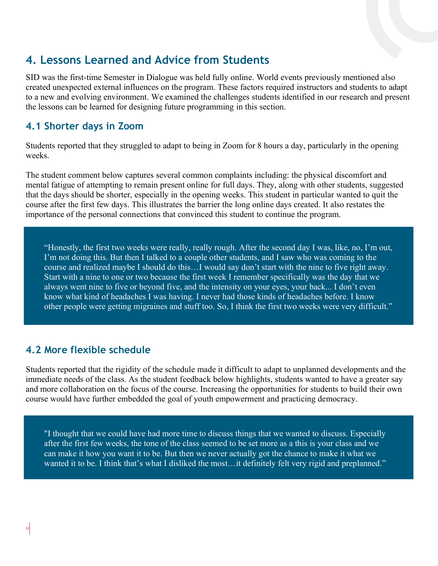## <span id="page-30-0"></span>**4. Lessons Learned and Advice from Students**

SID was the first-time Semester in Dialogue was held fully online. World events previously mentioned also created unexpected external influences on the program. These factors required instructors and students to adapt to a new and evolving environment. We examined the challenges students identified in our research and present the lessons can be learned for designing future programming in this section.

### <span id="page-30-1"></span>**4.1 Shorter days in Zoom**

Students reported that they struggled to adapt to being in Zoom for 8 hours a day, particularly in the opening weeks.

The student comment below captures several common complaints including: the physical discomfort and mental fatigue of attempting to remain present online for full days. They, along with other students, suggested that the days should be shorter, especially in the opening weeks. This student in particular wanted to quit the course after the first few days. This illustrates the barrier the long online days created. It also restates the importance of the personal connections that convinced this student to continue the program.

"Honestly, the first two weeks were really, really rough. After the second day I was, like, no, I'm out, I'm not doing this. But then I talked to a couple other students, and I saw who was coming to the course and realized maybe I should do this…I would say don't start with the nine to five right away. Start with a nine to one or two because the first week I remember specifically was the day that we always went nine to five or beyond five, and the intensity on your eyes, your back... I don't even know what kind of headaches I was having. I never had those kinds of headaches before. I know other people were getting migraines and stuff too. So, I think the first two weeks were very difficult."

### <span id="page-30-2"></span>**4.2 More flexible schedule**

Students reported that the rigidity of the schedule made it difficult to adapt to unplanned developments and the immediate needs of the class. As the student feedback below highlights, students wanted to have a greater say and more collaboration on the focus of the course. Increasing the opportunities for students to build their own course would have further embedded the goal of youth empowerment and practicing democracy.

"I thought that we could have had more time to discuss things that we wanted to discuss. Especially after the first few weeks, the tone of the class seemed to be set more as a this is your class and we can make it how you want it to be. But then we never actually got the chance to make it what we wanted it to be. I think that's what I disliked the most...it definitely felt very rigid and preplanned."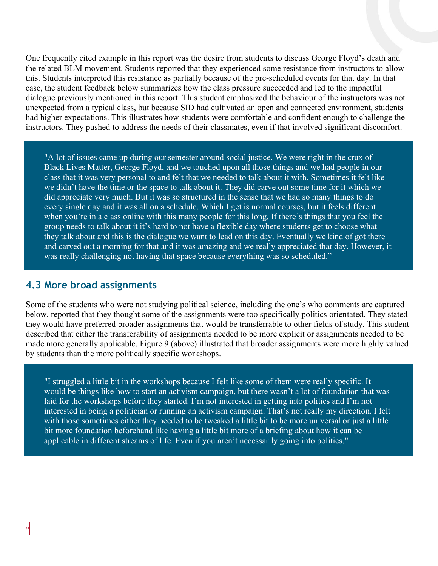One frequently cited example in this report was the desire from students to discuss George Floyd's death and the related BLM movement. Students reported that they experienced some resistance from instructors to allow this. Students interpreted this resistance as partially because of the pre-scheduled events for that day. In that case, the student feedback below summarizes how the class pressure succeeded and led to the impactful dialogue previously mentioned in this report. This student emphasized the behaviour of the instructors was not unexpected from a typical class, but because SID had cultivated an open and connected environment, students had higher expectations. This illustrates how students were comfortable and confident enough to challenge the instructors. They pushed to address the needs of their classmates, even if that involved significant discomfort.

"A lot of issues came up during our semester around social justice. We were right in the crux of Black Lives Matter, George Floyd, and we touched upon all those things and we had people in our class that it was very personal to and felt that we needed to talk about it with. Sometimes it felt like we didn't have the time or the space to talk about it. They did carve out some time for it which we did appreciate very much. But it was so structured in the sense that we had so many things to do every single day and it was all on a schedule. Which I get is normal courses, but it feels different when you're in a class online with this many people for this long. If there's things that you feel the group needs to talk about it it's hard to not have a flexible day where students get to choose what they talk about and this is the dialogue we want to lead on this day. Eventually we kind of got there and carved out a morning for that and it was amazing and we really appreciated that day. However, it was really challenging not having that space because everything was so scheduled."

#### <span id="page-31-0"></span>**4.3 More broad assignments**

Some of the students who were not studying political science, including the one's who comments are captured below, reported that they thought some of the assignments were too specifically politics orientated. They stated they would have preferred broader assignments that would be transferrable to other fields of study. This student described that either the transferability of assignments needed to be more explicit or assignments needed to be made more generally applicable. Figure 9 (above) illustrated that broader assignments were more highly valued by students than the more politically specific workshops.

"I struggled a little bit in the workshops because I felt like some of them were really specific. It would be things like how to start an activism campaign, but there wasn't a lot of foundation that was laid for the workshops before they started. I'm not interested in getting into politics and I'm not interested in being a politician or running an activism campaign. That's not really my direction. I felt with those sometimes either they needed to be tweaked a little bit to be more universal or just a little bit more foundation beforehand like having a little bit more of a briefing about how it can be applicable in different streams of life. Even if you aren't necessarily going into politics."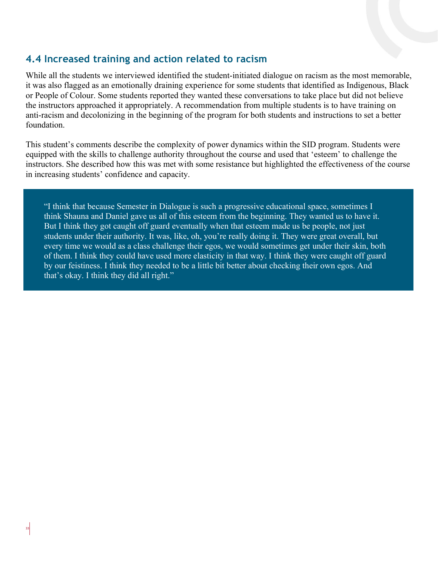## **4.4 Increased training and action related to racism**

While all the students we interviewed identified the student-initiated dialogue on racism as the most memorable, it was also flagged as an emotionally draining experience for some students that identified as Indigenous, Black or People of Colour. Some students reported they wanted these conversations to take place but did not believe the instructors approached it appropriately. A recommendation from multiple students is to have training on anti-racism and decolonizing in the beginning of the program for both students and instructions to set a better foundation.

This student's comments describe the complexity of power dynamics within the SID program. Students were equipped with the skills to challenge authority throughout the course and used that 'esteem' to challenge the instructors. She described how this was met with some resistance but highlighted the effectiveness of the course in increasing students' confidence and capacity.

"I think that because Semester in Dialogue is such a progressive educational space, sometimes I think Shauna and Daniel gave us all of this esteem from the beginning. They wanted us to have it. But I think they got caught off guard eventually when that esteem made us be people, not just students under their authority. It was, like, oh, you're really doing it. They were great overall, but every time we would as a class challenge their egos, we would sometimes get under their skin, both of them. I think they could have used more elasticity in that way. I think they were caught off guard by our feistiness. I think they needed to be a little bit better about checking their own egos. And that's okay. I think they did all right."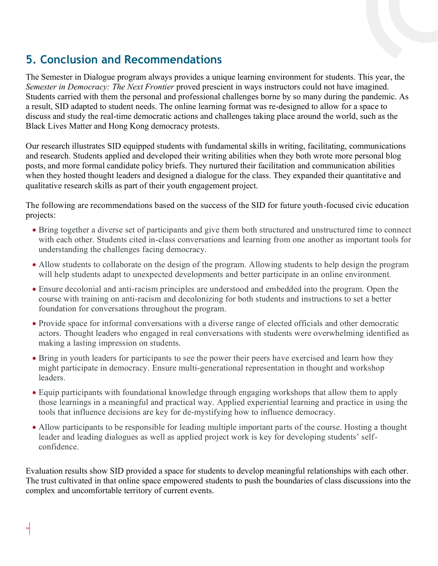# <span id="page-33-0"></span>**5. Conclusion and Recommendations**

The Semester in Dialogue program always provides a unique learning environment for students. This year, the *Semester in Democracy: The Next Frontier* proved prescient in ways instructors could not have imagined. Students carried with them the personal and professional challenges borne by so many during the pandemic. As a result, SID adapted to student needs. The online learning format was re-designed to allow for a space to discuss and study the real-time democratic actions and challenges taking place around the world, such as the Black Lives Matter and Hong Kong democracy protests.

Our research illustrates SID equipped students with fundamental skills in writing, facilitating, communications and research. Students applied and developed their writing abilities when they both wrote more personal blog posts, and more formal candidate policy briefs. They nurtured their facilitation and communication abilities when they hosted thought leaders and designed a dialogue for the class. They expanded their quantitative and qualitative research skills as part of their youth engagement project.

The following are recommendations based on the success of the SID for future youth-focused civic education projects:

- Bring together a diverse set of participants and give them both structured and unstructured time to connect with each other. Students cited in-class conversations and learning from one another as important tools for understanding the challenges facing democracy.
- Allow students to collaborate on the design of the program. Allowing students to help design the program will help students adapt to unexpected developments and better participate in an online environment.
- Ensure decolonial and anti-racism principles are understood and embedded into the program. Open the course with training on anti-racism and decolonizing for both students and instructions to set a better foundation for conversations throughout the program.
- Provide space for informal conversations with a diverse range of elected officials and other democratic actors. Thought leaders who engaged in real conversations with students were overwhelming identified as making a lasting impression on students.
- Bring in youth leaders for participants to see the power their peers have exercised and learn how they might participate in democracy. Ensure multi-generational representation in thought and workshop leaders.
- Equip participants with foundational knowledge through engaging workshops that allow them to apply those learnings in a meaningful and practical way. Applied experiential learning and practice in using the tools that influence decisions are key for de-mystifying how to influence democracy.
- Allow participants to be responsible for leading multiple important parts of the course. Hosting a thought leader and leading dialogues as well as applied project work is key for developing students' selfconfidence.

Evaluation results show SID provided a space for students to develop meaningful relationships with each other. The trust cultivated in that online space empowered students to push the boundaries of class discussions into the complex and uncomfortable territory of current events.